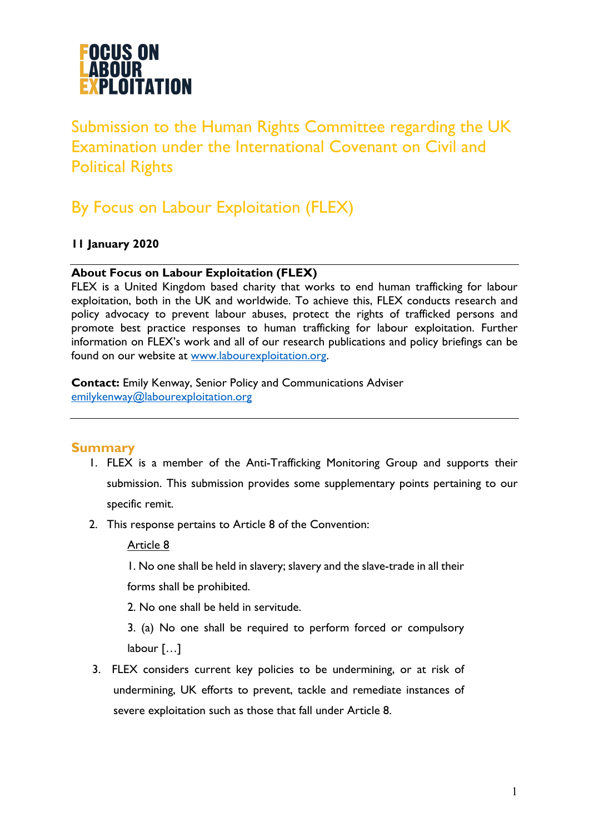

Submission to the Human Rights Committee regarding the UK Examination under the International Covenant on Civil and Political Rights

## By Focus on Labour Exploitation (FLEX)

#### **11 January 2020**

#### **About Focus on Labour Exploitation (FLEX)**

FLEX is a United Kingdom based charity that works to end human trafficking for labour exploitation, both in the UK and worldwide. To achieve this, FLEX conducts research and policy advocacy to prevent labour abuses, protect the rights of trafficked persons and promote best practice responses to human trafficking for labour exploitation. Further information on FLEX's work and all of our research publications and policy briefings can be found on our website at www.labourexploitation.org.

**Contact:** Emily Kenway, Senior Policy and Communications Adviser emilykenway@labourexploitation.org

#### **Summary**

- 1. FLEX is a member of the Anti-Trafficking Monitoring Group and supports their submission. This submission provides some supplementary points pertaining to our specific remit.
- 2. This response pertains to Article 8 of the Convention:

Article 8

1. No one shall be held in slavery; slavery and the slave-trade in all their

forms shall be prohibited.

2. No one shall be held in servitude.

3. (a) No one shall be required to perform forced or compulsory labour […]

3. FLEX considers current key policies to be undermining, or at risk of undermining, UK efforts to prevent, tackle and remediate instances of severe exploitation such as those that fall under Article 8.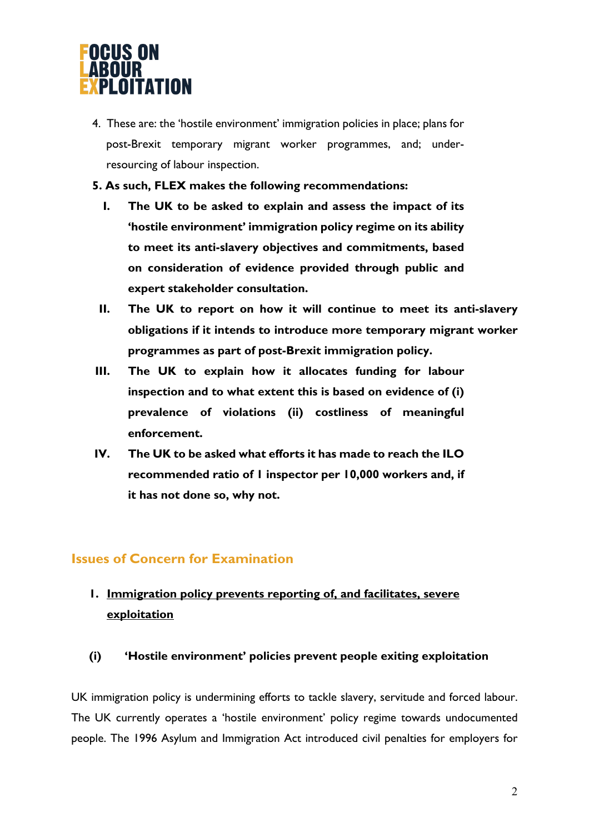

- 4. These are: the 'hostile environment' immigration policies in place; plans for post-Brexit temporary migrant worker programmes, and; underresourcing of labour inspection.
- **5. As such, FLEX makes the following recommendations:** 
	- **I. The UK to be asked to explain and assess the impact of its 'hostile environment' immigration policy regime on its ability to meet its anti-slavery objectives and commitments, based on consideration of evidence provided through public and expert stakeholder consultation.**
	- **II. The UK to report on how it will continue to meet its anti-slavery obligations if it intends to introduce more temporary migrant worker programmes as part of post-Brexit immigration policy.**
- **III. The UK to explain how it allocates funding for labour inspection and to what extent this is based on evidence of (i) prevalence of violations (ii) costliness of meaningful enforcement.**
- **IV. The UK to be asked what efforts it has made to reach the ILO recommended ratio of 1 inspector per 10,000 workers and, if it has not done so, why not.**

### **Issues of Concern for Examination**

### **1. Immigration policy prevents reporting of, and facilitates, severe exploitation**

#### **(i) 'Hostile environment' policies prevent people exiting exploitation**

UK immigration policy is undermining efforts to tackle slavery, servitude and forced labour. The UK currently operates a 'hostile environment' policy regime towards undocumented people. The 1996 Asylum and Immigration Act introduced civil penalties for employers for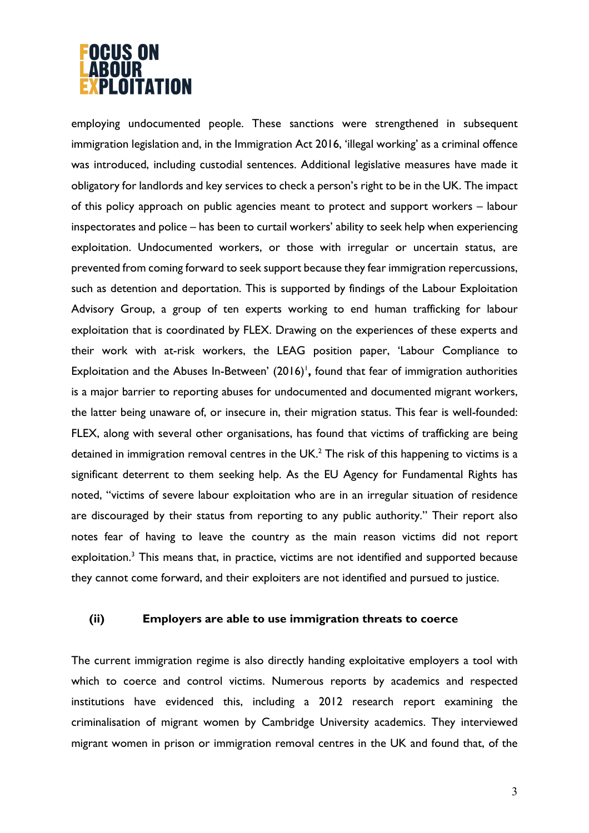# **OCUS ON** LOITATION

employing undocumented people. These sanctions were strengthened in subsequent immigration legislation and, in the Immigration Act 2016, 'illegal working' as a criminal offence was introduced, including custodial sentences. Additional legislative measures have made it obligatory for landlords and key services to check a person's right to be in the UK. The impact of this policy approach on public agencies meant to protect and support workers – labour inspectorates and police – has been to curtail workers' ability to seek help when experiencing exploitation. Undocumented workers, or those with irregular or uncertain status, are prevented from coming forward to seek support because they fear immigration repercussions, such as detention and deportation. This is supported by findings of the Labour Exploitation Advisory Group, a group of ten experts working to end human trafficking for labour exploitation that is coordinated by FLEX. Drawing on the experiences of these experts and their work with at-risk workers, the LEAG position paper, 'Labour Compliance to Exploitation and the Abuses In-Between' (2016)<sup>1</sup>, found that fear of immigration authorities is a major barrier to reporting abuses for undocumented and documented migrant workers, the latter being unaware of, or insecure in, their migration status. This fear is well-founded: FLEX, along with several other organisations, has found that victims of trafficking are being detained in immigration removal centres in the  $UK<sup>2</sup>$ . The risk of this happening to victims is a significant deterrent to them seeking help. As the EU Agency for Fundamental Rights has noted, "victims of severe labour exploitation who are in an irregular situation of residence are discouraged by their status from reporting to any public authority." Their report also notes fear of having to leave the country as the main reason victims did not report exploitation.<sup>3</sup> This means that, in practice, victims are not identified and supported because they cannot come forward, and their exploiters are not identified and pursued to justice.

#### **(ii) Employers are able to use immigration threats to coerce**

The current immigration regime is also directly handing exploitative employers a tool with which to coerce and control victims. Numerous reports by academics and respected institutions have evidenced this, including a 2012 research report examining the criminalisation of migrant women by Cambridge University academics. They interviewed migrant women in prison or immigration removal centres in the UK and found that, of the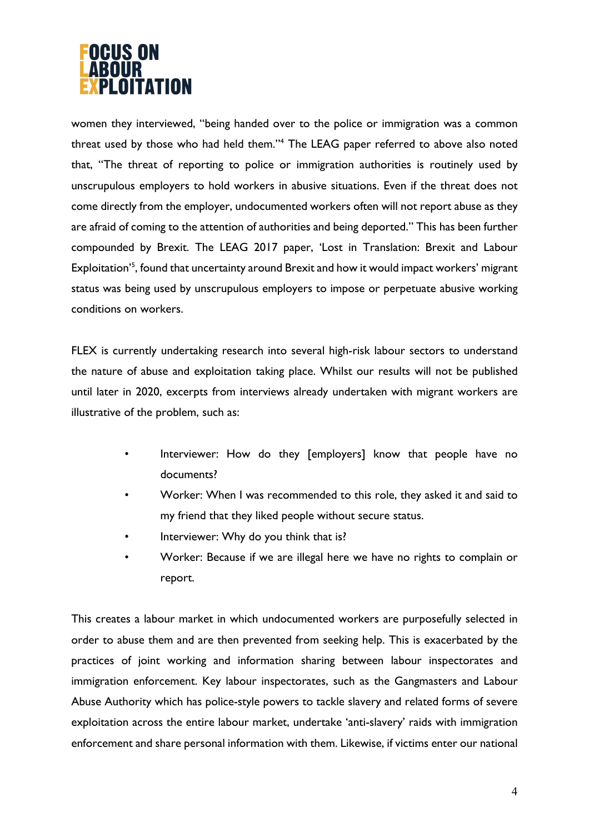

women they interviewed, "being handed over to the police or immigration was a common threat used by those who had held them."4 The LEAG paper referred to above also noted that, "The threat of reporting to police or immigration authorities is routinely used by unscrupulous employers to hold workers in abusive situations. Even if the threat does not come directly from the employer, undocumented workers often will not report abuse as they are afraid of coming to the attention of authorities and being deported." This has been further compounded by Brexit. The LEAG 2017 paper, 'Lost in Translation: Brexit and Labour Exploitation<sup>'5</sup>, found that uncertainty around Brexit and how it would impact workers' migrant status was being used by unscrupulous employers to impose or perpetuate abusive working conditions on workers.

FLEX is currently undertaking research into several high-risk labour sectors to understand the nature of abuse and exploitation taking place. Whilst our results will not be published until later in 2020, excerpts from interviews already undertaken with migrant workers are illustrative of the problem, such as:

- Interviewer: How do they [employers] know that people have no documents?
- Worker: When I was recommended to this role, they asked it and said to my friend that they liked people without secure status.
- Interviewer: Why do you think that is?
- Worker: Because if we are illegal here we have no rights to complain or report.

This creates a labour market in which undocumented workers are purposefully selected in order to abuse them and are then prevented from seeking help. This is exacerbated by the practices of joint working and information sharing between labour inspectorates and immigration enforcement. Key labour inspectorates, such as the Gangmasters and Labour Abuse Authority which has police-style powers to tackle slavery and related forms of severe exploitation across the entire labour market, undertake 'anti-slavery' raids with immigration enforcement and share personal information with them. Likewise, if victims enter our national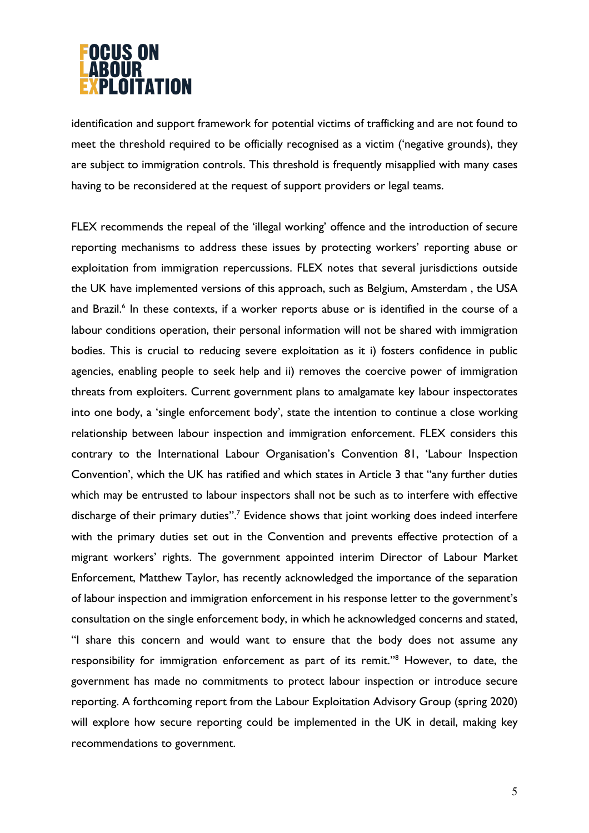# **OCUS ON** PLOITATION

identification and support framework for potential victims of trafficking and are not found to meet the threshold required to be officially recognised as a victim ('negative grounds), they are subject to immigration controls. This threshold is frequently misapplied with many cases having to be reconsidered at the request of support providers or legal teams.

FLEX recommends the repeal of the 'illegal working' offence and the introduction of secure reporting mechanisms to address these issues by protecting workers' reporting abuse or exploitation from immigration repercussions. FLEX notes that several jurisdictions outside the UK have implemented versions of this approach, such as Belgium, Amsterdam , the USA and Brazil.<sup>6</sup> In these contexts, if a worker reports abuse or is identified in the course of a labour conditions operation, their personal information will not be shared with immigration bodies. This is crucial to reducing severe exploitation as it i) fosters confidence in public agencies, enabling people to seek help and ii) removes the coercive power of immigration threats from exploiters. Current government plans to amalgamate key labour inspectorates into one body, a 'single enforcement body', state the intention to continue a close working relationship between labour inspection and immigration enforcement. FLEX considers this contrary to the International Labour Organisation's Convention 81, 'Labour Inspection Convention', which the UK has ratified and which states in Article 3 that "any further duties which may be entrusted to labour inspectors shall not be such as to interfere with effective discharge of their primary duties".<sup>7</sup> Evidence shows that joint working does indeed interfere with the primary duties set out in the Convention and prevents effective protection of a migrant workers' rights. The government appointed interim Director of Labour Market Enforcement, Matthew Taylor, has recently acknowledged the importance of the separation of labour inspection and immigration enforcement in his response letter to the government's consultation on the single enforcement body, in which he acknowledged concerns and stated, "I share this concern and would want to ensure that the body does not assume any responsibility for immigration enforcement as part of its remit."8 However, to date, the government has made no commitments to protect labour inspection or introduce secure reporting. A forthcoming report from the Labour Exploitation Advisory Group (spring 2020) will explore how secure reporting could be implemented in the UK in detail, making key recommendations to government.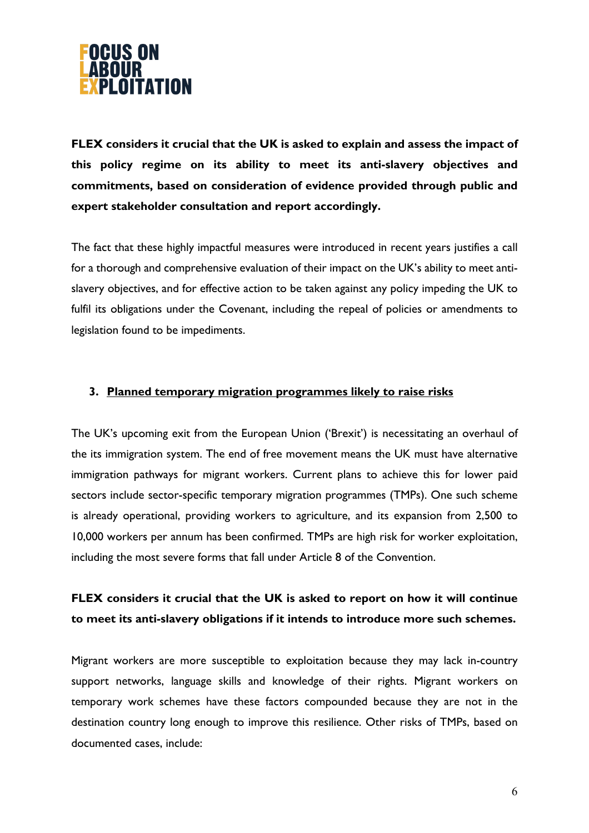

**FLEX considers it crucial that the UK is asked to explain and assess the impact of this policy regime on its ability to meet its anti-slavery objectives and commitments, based on consideration of evidence provided through public and expert stakeholder consultation and report accordingly.** 

The fact that these highly impactful measures were introduced in recent years justifies a call for a thorough and comprehensive evaluation of their impact on the UK's ability to meet antislavery objectives, and for effective action to be taken against any policy impeding the UK to fulfil its obligations under the Covenant, including the repeal of policies or amendments to legislation found to be impediments.

#### **3. Planned temporary migration programmes likely to raise risks**

The UK's upcoming exit from the European Union ('Brexit') is necessitating an overhaul of the its immigration system. The end of free movement means the UK must have alternative immigration pathways for migrant workers. Current plans to achieve this for lower paid sectors include sector-specific temporary migration programmes (TMPs). One such scheme is already operational, providing workers to agriculture, and its expansion from 2,500 to 10,000 workers per annum has been confirmed. TMPs are high risk for worker exploitation, including the most severe forms that fall under Article 8 of the Convention.

### **FLEX considers it crucial that the UK is asked to report on how it will continue to meet its anti-slavery obligations if it intends to introduce more such schemes.**

Migrant workers are more susceptible to exploitation because they may lack in-country support networks, language skills and knowledge of their rights. Migrant workers on temporary work schemes have these factors compounded because they are not in the destination country long enough to improve this resilience. Other risks of TMPs, based on documented cases, include: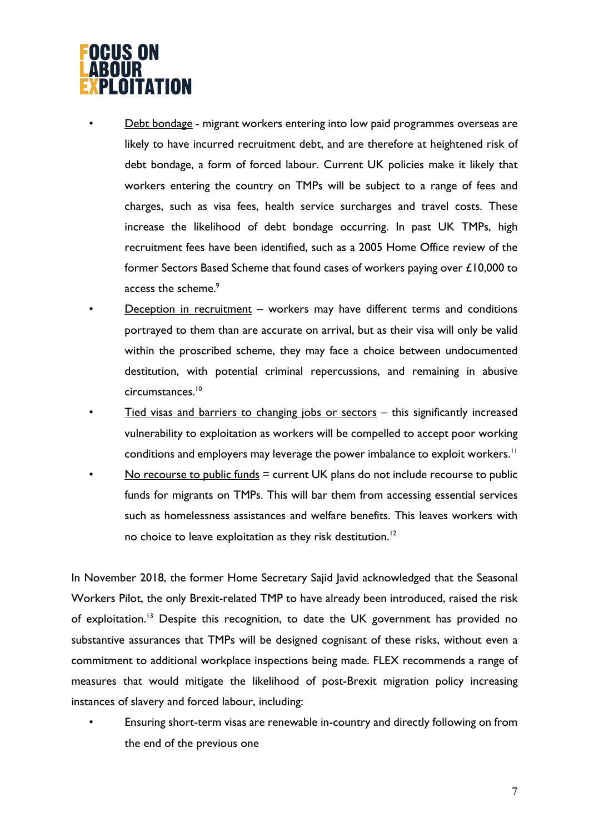# OCUS ON LOITATION

• Debt bondage - migrant workers entering into low paid programmes overseas are likely to have incurred recruitment debt, and are therefore at heightened risk of debt bondage, a form of forced labour. Current UK policies make it likely that workers entering the country on TMPs will be subject to a range of fees and charges, such as visa fees, health service surcharges and travel costs. These increase the likelihood of debt bondage occurring. In past UK TMPs, high recruitment fees have been identified, such as a 2005 Home Office review of the former Sectors Based Scheme that found cases of workers paying over £10,000 to access the scheme.<sup>9</sup>

- Deception in recruitment workers may have different terms and conditions portrayed to them than are accurate on arrival, but as their visa will only be valid within the proscribed scheme, they may face a choice between undocumented destitution, with potential criminal repercussions, and remaining in abusive circumstances. 10
- Tied visas and barriers to changing jobs or sectors  $-$  this significantly increased vulnerability to exploitation as workers will be compelled to accept poor working conditions and employers may leverage the power imbalance to exploit workers.  $^{\text{11}}$
- No recourse to public funds  $=$  current UK plans do not include recourse to public funds for migrants on TMPs. This will bar them from accessing essential services such as homelessness assistances and welfare benefits. This leaves workers with no choice to leave exploitation as they risk destitution.<sup>12</sup>

In November 2018, the former Home Secretary Sajid Javid acknowledged that the Seasonal Workers Pilot, the only Brexit-related TMP to have already been introduced, raised the risk of exploitation.13 Despite this recognition, to date the UK government has provided no substantive assurances that TMPs will be designed cognisant of these risks, without even a commitment to additional workplace inspections being made. FLEX recommends a range of measures that would mitigate the likelihood of post-Brexit migration policy increasing instances of slavery and forced labour, including:

• Ensuring short-term visas are renewable in-country and directly following on from the end of the previous one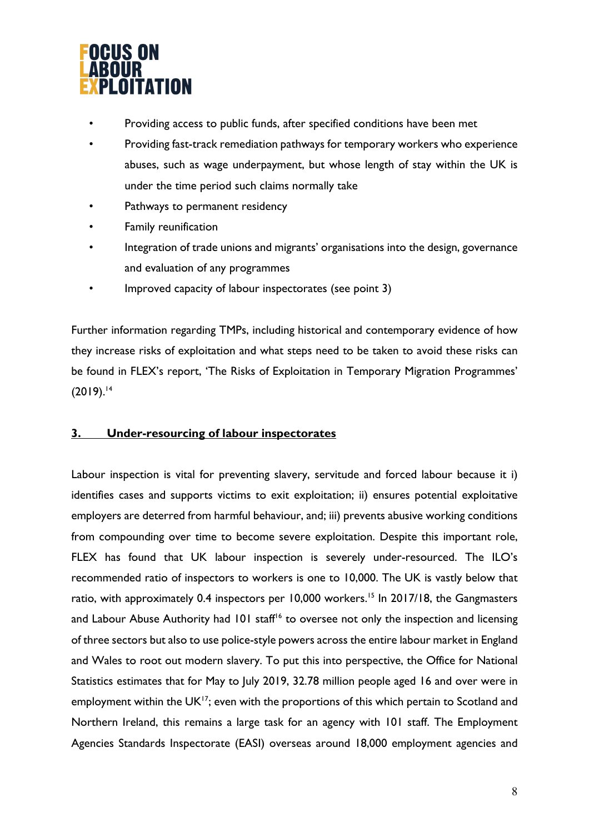

- Providing access to public funds, after specified conditions have been met
- Providing fast-track remediation pathways for temporary workers who experience abuses, such as wage underpayment, but whose length of stay within the UK is under the time period such claims normally take
- Pathways to permanent residency
- Family reunification
- Integration of trade unions and migrants' organisations into the design, governance and evaluation of any programmes
- Improved capacity of labour inspectorates (see point 3)

Further information regarding TMPs, including historical and contemporary evidence of how they increase risks of exploitation and what steps need to be taken to avoid these risks can be found in FLEX's report, 'The Risks of Exploitation in Temporary Migration Programmes'  $(2019).^{14}$ 

#### **3. Under-resourcing of labour inspectorates**

Labour inspection is vital for preventing slavery, servitude and forced labour because it i) identifies cases and supports victims to exit exploitation; ii) ensures potential exploitative employers are deterred from harmful behaviour, and; iii) prevents abusive working conditions from compounding over time to become severe exploitation. Despite this important role, FLEX has found that UK labour inspection is severely under-resourced. The ILO's recommended ratio of inspectors to workers is one to 10,000. The UK is vastly below that ratio, with approximately 0.4 inspectors per 10,000 workers.<sup>15</sup> In 2017/18, the Gangmasters and Labour Abuse Authority had 101 staff<sup>16</sup> to oversee not only the inspection and licensing of three sectors but also to use police-style powers across the entire labour market in England and Wales to root out modern slavery. To put this into perspective, the Office for National Statistics estimates that for May to July 2019, 32.78 million people aged 16 and over were in employment within the  $UK^{17}$ ; even with the proportions of this which pertain to Scotland and Northern Ireland, this remains a large task for an agency with 101 staff. The Employment Agencies Standards Inspectorate (EASI) overseas around 18,000 employment agencies and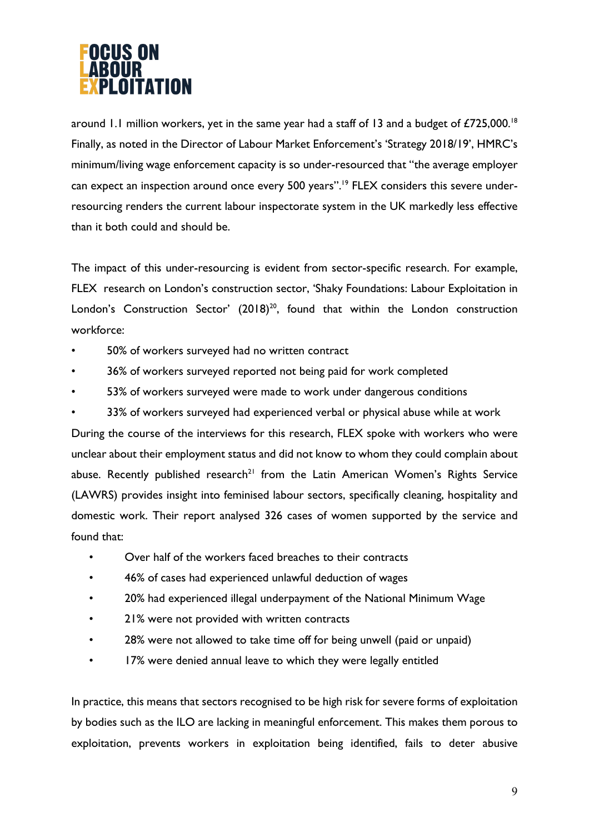# **OCUS ON** LOITATION

around 1.1 million workers, yet in the same year had a staff of 13 and a budget of  $£725,000.^{18}$ Finally, as noted in the Director of Labour Market Enforcement's 'Strategy 2018/19', HMRC's minimum/living wage enforcement capacity is so under-resourced that "the average employer can expect an inspection around once every 500 years".<sup>19</sup> FLEX considers this severe underresourcing renders the current labour inspectorate system in the UK markedly less effective than it both could and should be.

The impact of this under-resourcing is evident from sector-specific research. For example, FLEX research on London's construction sector, 'Shaky Foundations: Labour Exploitation in London's Construction Sector'  $(2018)^{20}$ , found that within the London construction workforce:

- 50% of workers surveyed had no written contract
- 36% of workers surveyed reported not being paid for work completed
- 53% of workers surveyed were made to work under dangerous conditions
- 33% of workers surveyed had experienced verbal or physical abuse while at work

During the course of the interviews for this research, FLEX spoke with workers who were unclear about their employment status and did not know to whom they could complain about abuse. Recently published research<sup>21</sup> from the Latin American Women's Rights Service (LAWRS) provides insight into feminised labour sectors, specifically cleaning, hospitality and domestic work. Their report analysed 326 cases of women supported by the service and found that:

- Over half of the workers faced breaches to their contracts
- 46% of cases had experienced unlawful deduction of wages
- 20% had experienced illegal underpayment of the National Minimum Wage
- 21% were not provided with written contracts
- 28% were not allowed to take time off for being unwell (paid or unpaid)
- 17% were denied annual leave to which they were legally entitled

In practice, this means that sectors recognised to be high risk for severe forms of exploitation by bodies such as the ILO are lacking in meaningful enforcement. This makes them porous to exploitation, prevents workers in exploitation being identified, fails to deter abusive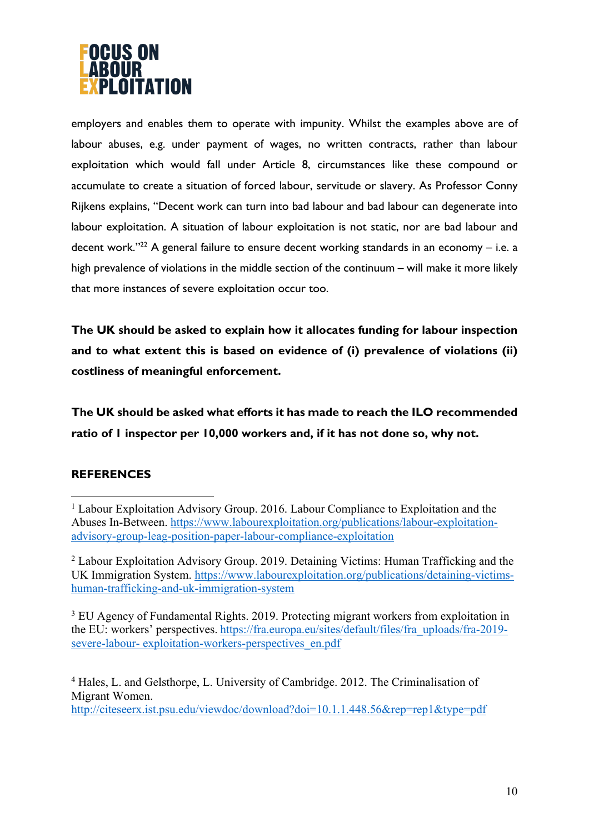

employers and enables them to operate with impunity. Whilst the examples above are of labour abuses, e.g. under payment of wages, no written contracts, rather than labour exploitation which would fall under Article 8, circumstances like these compound or accumulate to create a situation of forced labour, servitude or slavery. As Professor Conny Rijkens explains, "Decent work can turn into bad labour and bad labour can degenerate into labour exploitation. A situation of labour exploitation is not static, nor are bad labour and decent work."<sup>22</sup> A general failure to ensure decent working standards in an economy - i.e. a high prevalence of violations in the middle section of the continuum – will make it more likely that more instances of severe exploitation occur too.

**The UK should be asked to explain how it allocates funding for labour inspection and to what extent this is based on evidence of (i) prevalence of violations (ii) costliness of meaningful enforcement.** 

**The UK should be asked what efforts it has made to reach the ILO recommended ratio of 1 inspector per 10,000 workers and, if it has not done so, why not.** 

### **REFERENCES**

<sup>3</sup> EU Agency of Fundamental Rights. 2019. Protecting migrant workers from exploitation in the EU: workers' perspectives. https://fra.europa.eu/sites/default/files/fra uploads/fra-2019severe-labour- exploitation-workers-perspectives\_en.pdf

<sup>4</sup> Hales, L. and Gelsthorpe, L. University of Cambridge. 2012. The Criminalisation of Migrant Women. http://citeseerx.ist.psu.edu/viewdoc/download?doi=10.1.1.448.56&rep=rep1&type=pdf

<sup>&</sup>lt;sup>1</sup> Labour Exploitation Advisory Group. 2016. Labour Compliance to Exploitation and the Abuses In-Between. https://www.labourexploitation.org/publications/labour-exploitationadvisory-group-leag-position-paper-labour-compliance-exploitation

<sup>&</sup>lt;sup>2</sup> Labour Exploitation Advisory Group. 2019. Detaining Victims: Human Trafficking and the UK Immigration System. https://www.labourexploitation.org/publications/detaining-victimshuman-trafficking-and-uk-immigration-system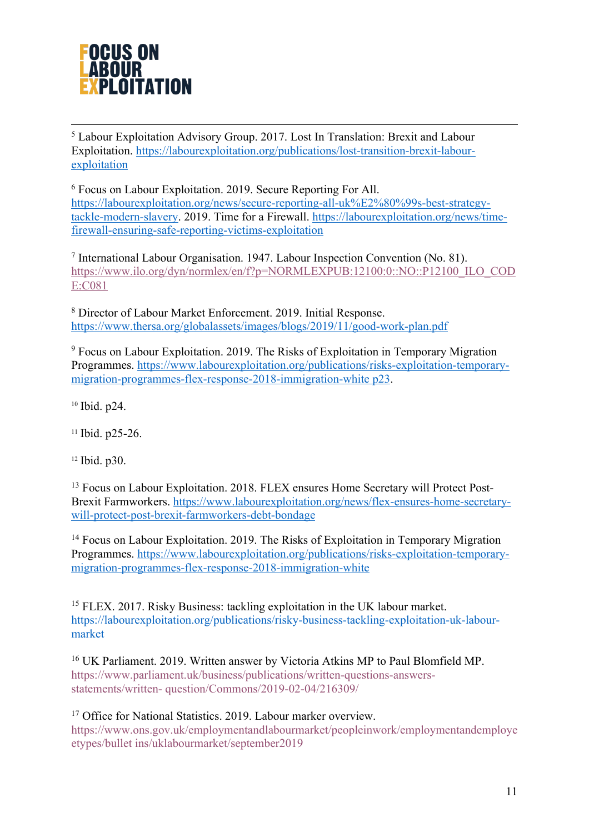

<sup>5</sup> Labour Exploitation Advisory Group. 2017. Lost In Translation: Brexit and Labour Exploitation. https://labourexploitation.org/publications/lost-transition-brexit-labourexploitation

<sup>6</sup> Focus on Labour Exploitation. 2019. Secure Reporting For All. https://labourexploitation.org/news/secure-reporting-all-uk%E2%80%99s-best-strategytackle-modern-slavery. 2019. Time for a Firewall. https://labourexploitation.org/news/timefirewall-ensuring-safe-reporting-victims-exploitation

<sup>7</sup> International Labour Organisation. 1947. Labour Inspection Convention (No. 81). https://www.ilo.org/dyn/normlex/en/f?p=NORMLEXPUB:12100:0::NO::P12100\_ILO\_COD E:C081

<sup>8</sup> Director of Labour Market Enforcement. 2019. Initial Response. https://www.thersa.org/globalassets/images/blogs/2019/11/good-work-plan.pdf

<sup>9</sup> Focus on Labour Exploitation. 2019. The Risks of Exploitation in Temporary Migration Programmes. https://www.labourexploitation.org/publications/risks-exploitation-temporarymigration-programmes-flex-response-2018-immigration-white p23.

<sup>10</sup> Ibid. p24.

<sup>11</sup> Ibid. p25-26.

<sup>12</sup> Ibid. p30.

<sup>13</sup> Focus on Labour Exploitation. 2018. FLEX ensures Home Secretary will Protect Post-Brexit Farmworkers. https://www.labourexploitation.org/news/flex-ensures-home-secretarywill-protect-post-brexit-farmworkers-debt-bondage

<sup>14</sup> Focus on Labour Exploitation. 2019. The Risks of Exploitation in Temporary Migration Programmes. https://www.labourexploitation.org/publications/risks-exploitation-temporarymigration-programmes-flex-response-2018-immigration-white

<sup>15</sup> FLEX. 2017. Risky Business: tackling exploitation in the UK labour market. https://labourexploitation.org/publications/risky-business-tackling-exploitation-uk-labourmarket

<sup>16</sup> UK Parliament. 2019. Written answer by Victoria Atkins MP to Paul Blomfield MP. https://www.parliament.uk/business/publications/written-questions-answersstatements/written- question/Commons/2019-02-04/216309/

<sup>17</sup> Office for National Statistics. 2019. Labour marker overview. https://www.ons.gov.uk/employmentandlabourmarket/peopleinwork/employmentandemploye etypes/bullet ins/uklabourmarket/september2019